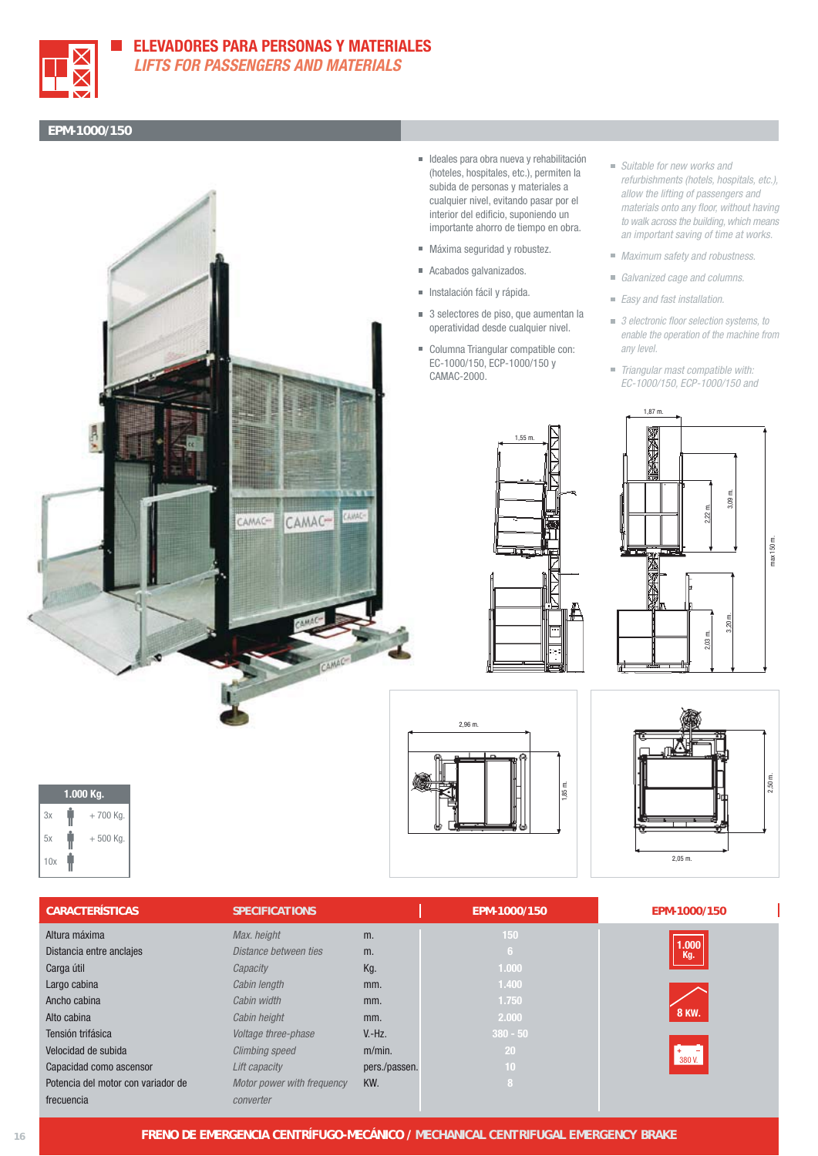

## **ELEVADORES PARA PERSONAS Y MATERIALES**

**LIFTS FOR PASSENGERS AND MATERIALS**

## **EPM-1000/150**



- Ideales para obra nueva y rehabilitación (hoteles, hospitales, etc.), permiten la subida de personas y materiales a cualquier nivel, evitando pasar por el interior del edificio, suponiendo un importante ahorro de tiempo en obra.
- Máxima seguridad y robustez.
- Acabados galvanizados.
- Instalación fácil y rápida.
- 3 selectores de piso, que aumentan la operatividad desde cualquier nivel.
- Columna Triangular compatible con: EC-1000/150, ECP-1000/150 y CAMAC-2000.

1,55 m.

- Suitable for new works and refurbishments (hotels, hospitals, etc.), allow the lifting of passengers and materials onto any floor, without having to walk across the building, which means an important saving of time at works.
- Maximum safety and robustness.
- Galvanized cage and columns.
- Easy and fast installation.
- 3 electronic floor selection systems, to enable the operation of the machine from any level.
- Triangular mast compatible with: EC-1000/150, ECP-1000/150 and







| <b>CARACTERÍSTICAS</b>             | <b>SPECIFICATIONS</b>      |               | EPM-1000/150 | EPM-1000/150 |
|------------------------------------|----------------------------|---------------|--------------|--------------|
| Altura máxima                      | Max. height                | m.            | 150          |              |
| Distancia entre anclajes           | Distance between ties      | m.            | 6.           | 1.000<br>Kg. |
| Carga útil                         | Capacity                   | Kg.           | 1.000        |              |
| Largo cabina                       | Cabin length               | mm.           | 1.400        |              |
| Ancho cabina                       | Cabin width                | mm.           | 1.750        |              |
| Alto cabina                        | Cabin height               | mm.           | 2.000        | <b>8 KW.</b> |
| Tensión trifásica                  | Voltage three-phase        | $V.-Hz.$      | $380 - 50$   |              |
| Velocidad de subida                | <b>Climbing speed</b>      | $m/min$ .     | 20           |              |
| Capacidad como ascensor            | Lift capacity              | pers./passen. | 10           | 380 V.       |
| Potencia del motor con variador de | Motor power with frequency | KW.           | 8            |              |
| frecuencia                         | converter                  |               |              |              |

 $3x - 700$  Kg.  $5x$   $+ 500$  Kg.

**1.000 Kg.**

10x

Í